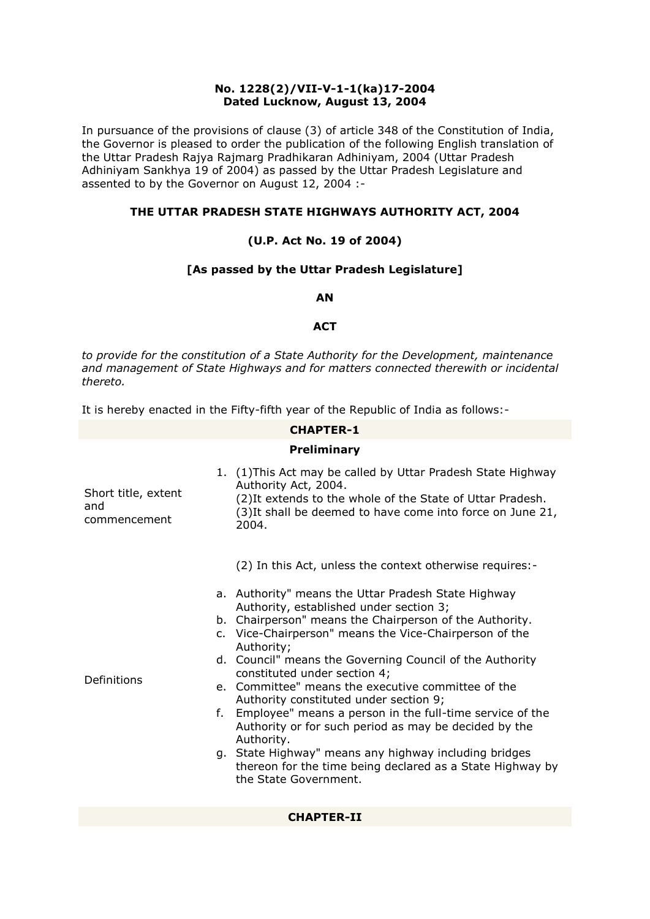# **No. 1228(2)/VII-V-1-1(ka)17-2004 Dated Lucknow, August 13, 2004**

In pursuance of the provisions of clause (3) of article 348 of the Constitution of India, the Governor is pleased to order the publication of the following English translation of the Uttar Pradesh Rajya Rajmarg Pradhikaran Adhiniyam, 2004 (Uttar Pradesh Adhiniyam Sankhya 19 of 2004) as passed by the Uttar Pradesh Legislature and assented to by the Governor on August 12, 2004 :-

# **THE UTTAR PRADESH STATE HIGHWAYS AUTHORITY ACT, 2004**

# **(U.P. Act No. 19 of 2004)**

# **[As passed by the Uttar Pradesh Legislature]**

#### **AN**

#### **ACT**

*to provide for the constitution of a State Authority for the Development, maintenance and management of State Highways and for matters connected therewith or incidental thereto.*

It is hereby enacted in the Fifty-fifth year of the Republic of India as follows:-

#### **CHAPTER-1**

#### **Preliminary**

| Short title, extent<br>and<br>commencement |    | 1. (1) This Act may be called by Uttar Pradesh State Highway<br>Authority Act, 2004.<br>(2) It extends to the whole of the State of Uttar Pradesh.<br>(3) It shall be deemed to have come into force on June 21,<br>2004.                                                                                                                                                                                                                                                                                                                                                                                                                                                              |
|--------------------------------------------|----|----------------------------------------------------------------------------------------------------------------------------------------------------------------------------------------------------------------------------------------------------------------------------------------------------------------------------------------------------------------------------------------------------------------------------------------------------------------------------------------------------------------------------------------------------------------------------------------------------------------------------------------------------------------------------------------|
|                                            |    | (2) In this Act, unless the context otherwise requires:-                                                                                                                                                                                                                                                                                                                                                                                                                                                                                                                                                                                                                               |
| Definitions                                | f. | a. Authority" means the Uttar Pradesh State Highway<br>Authority, established under section 3;<br>b. Chairperson" means the Chairperson of the Authority.<br>c. Vice-Chairperson" means the Vice-Chairperson of the<br>Authority;<br>d. Council" means the Governing Council of the Authority<br>constituted under section 4;<br>e. Committee" means the executive committee of the<br>Authority constituted under section 9;<br>Employee" means a person in the full-time service of the<br>Authority or for such period as may be decided by the<br>Authority.<br>g. State Highway" means any highway including bridges<br>thereon for the time being declared as a State Highway by |

#### **CHAPTER-II**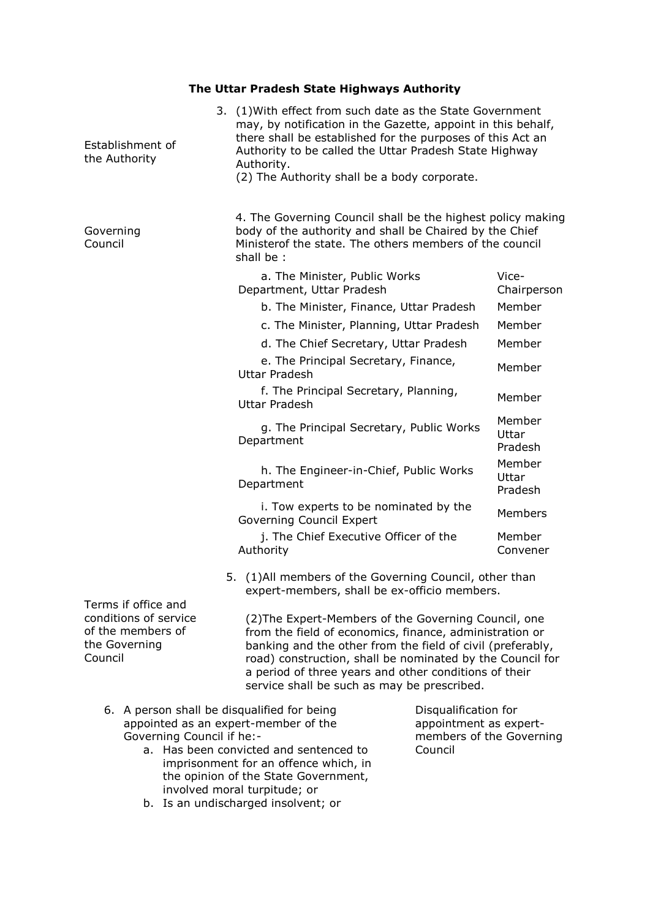# **The Uttar Pradesh State Highways Authority**

| Establishment of<br>the Authority                                                             | 3. (1) With effect from such date as the State Government<br>may, by notification in the Gazette, appoint in this behalf,<br>there shall be established for the purposes of this Act an<br>Authority to be called the Uttar Pradesh State Highway<br>Authority.<br>(2) The Authority shall be a body corporate.                                    |                                                                            |                                |
|-----------------------------------------------------------------------------------------------|----------------------------------------------------------------------------------------------------------------------------------------------------------------------------------------------------------------------------------------------------------------------------------------------------------------------------------------------------|----------------------------------------------------------------------------|--------------------------------|
| Governing<br>Council                                                                          | 4. The Governing Council shall be the highest policy making<br>body of the authority and shall be Chaired by the Chief<br>Ministerof the state. The others members of the council<br>shall be:                                                                                                                                                     |                                                                            |                                |
|                                                                                               | a. The Minister, Public Works<br>Department, Uttar Pradesh<br>b. The Minister, Finance, Uttar Pradesh                                                                                                                                                                                                                                              |                                                                            | Vice-<br>Chairperson<br>Member |
|                                                                                               | c. The Minister, Planning, Uttar Pradesh                                                                                                                                                                                                                                                                                                           |                                                                            | Member                         |
|                                                                                               | d. The Chief Secretary, Uttar Pradesh                                                                                                                                                                                                                                                                                                              |                                                                            | Member                         |
|                                                                                               | e. The Principal Secretary, Finance,<br><b>Uttar Pradesh</b>                                                                                                                                                                                                                                                                                       |                                                                            | Member                         |
|                                                                                               | f. The Principal Secretary, Planning,<br>Uttar Pradesh                                                                                                                                                                                                                                                                                             |                                                                            | Member                         |
|                                                                                               | g. The Principal Secretary, Public Works<br>Department                                                                                                                                                                                                                                                                                             |                                                                            | Member<br>Uttar<br>Pradesh     |
|                                                                                               | h. The Engineer-in-Chief, Public Works<br>Department                                                                                                                                                                                                                                                                                               |                                                                            | Member<br>Uttar<br>Pradesh     |
|                                                                                               | i. Tow experts to be nominated by the<br>Governing Council Expert                                                                                                                                                                                                                                                                                  |                                                                            | Members                        |
|                                                                                               | j. The Chief Executive Officer of the<br>Authority                                                                                                                                                                                                                                                                                                 |                                                                            | Member<br>Convener             |
|                                                                                               | 5. (1) All members of the Governing Council, other than<br>expert-members, shall be ex-officio members.                                                                                                                                                                                                                                            |                                                                            |                                |
| Terms if office and<br>conditions of service<br>of the members of<br>the Governing<br>Council | (2) The Expert-Members of the Governing Council, one<br>from the field of economics, finance, administration or<br>banking and the other from the field of civil (preferably,<br>road) construction, shall be nominated by the Council for<br>a period of three years and other conditions of their<br>service shall be such as may be prescribed. |                                                                            |                                |
| Governing Council if he:-                                                                     | 6. A person shall be disqualified for being<br>appointed as an expert-member of the                                                                                                                                                                                                                                                                | Disqualification for<br>appointment as expert-<br>members of the Governing |                                |

Council

- a. Has been convicted and sentenced to imprisonment for an offence which, in the opinion of the State Government, involved moral turpitude; or
- b. Is an undischarged insolvent; or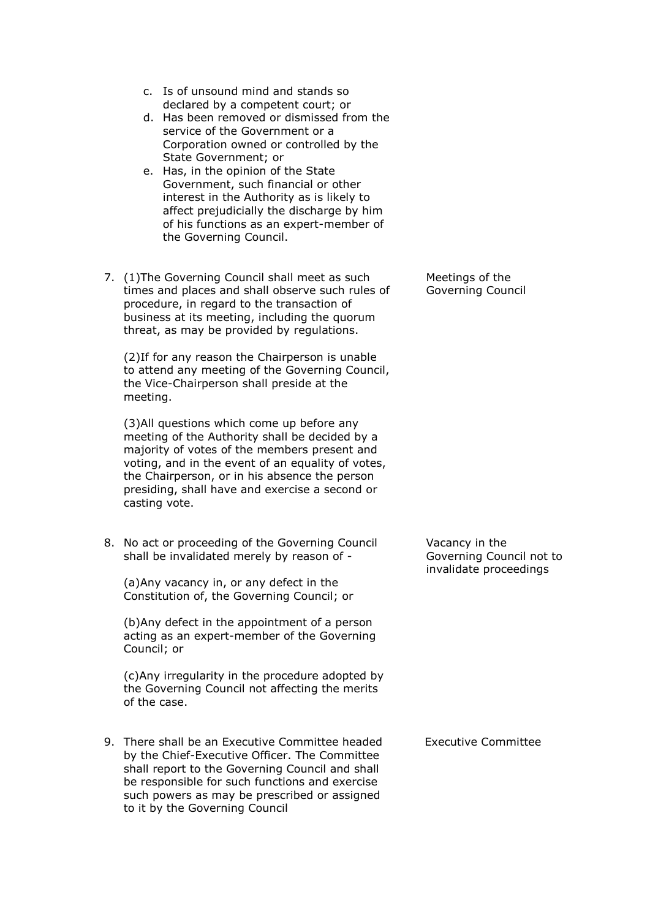- c. Is of unsound mind and stands so declared by a competent court; or
- d. Has been removed or dismissed from the service of the Government or a Corporation owned or controlled by the State Government; or
- e. Has, in the opinion of the State Government, such financial or other interest in the Authority as is likely to affect prejudicially the discharge by him of his functions as an expert-member of the Governing Council.
- 7. (1)The Governing Council shall meet as such times and places and shall observe such rules of procedure, in regard to the transaction of business at its meeting, including the quorum threat, as may be provided by regulations.

(2)If for any reason the Chairperson is unable to attend any meeting of the Governing Council, the Vice-Chairperson shall preside at the meeting.

(3)All questions which come up before any meeting of the Authority shall be decided by a majority of votes of the members present and voting, and in the event of an equality of votes, the Chairperson, or in his absence the person presiding, shall have and exercise a second or casting vote.

8. No act or proceeding of the Governing Council shall be invalidated merely by reason of -

(a)Any vacancy in, or any defect in the Constitution of, the Governing Council; or

(b)Any defect in the appointment of a person acting as an expert-member of the Governing Council; or

(c)Any irregularity in the procedure adopted by the Governing Council not affecting the merits of the case.

9. There shall be an Executive Committee headed by the Chief-Executive Officer. The Committee shall report to the Governing Council and shall be responsible for such functions and exercise such powers as may be prescribed or assigned to it by the Governing Council

Meetings of the Governing Council

Vacancy in the Governing Council not to invalidate proceedings

Executive Committee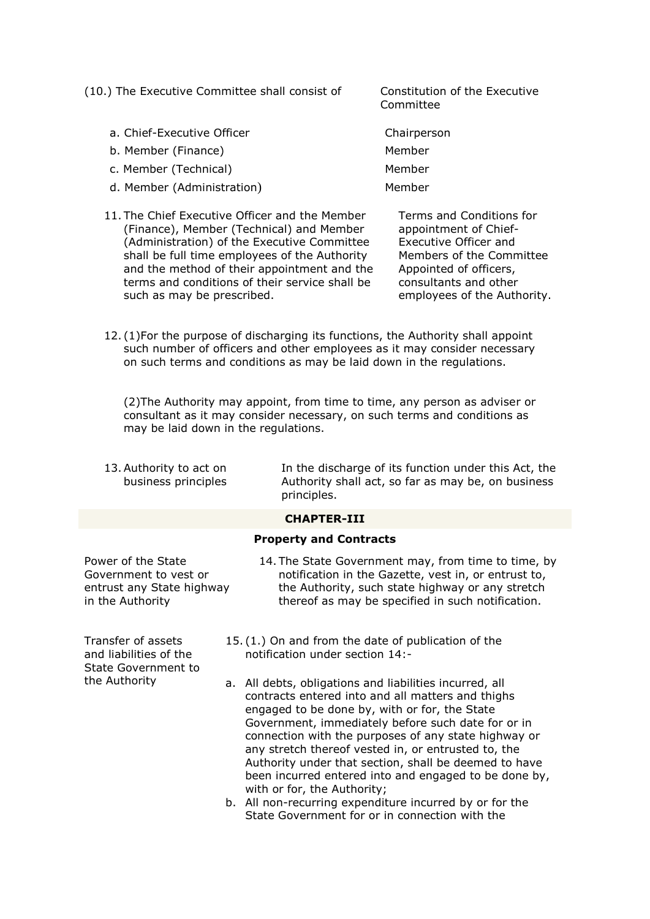(10.) The Executive Committee shall consist of Constitution of the Executive

- a. Chief-Executive Officer Chairperson
- b. Member (Finance) and the member of the Member
- c. Member (Technical) Member
- d. Member (Administration) Member
- 11. The Chief Executive Officer and the Member (Finance), Member (Technical) and Member (Administration) of the Executive Committee shall be full time employees of the Authority and the method of their appointment and the terms and conditions of their service shall be such as may be prescribed.

Committee

- 
- 
- 
- 

Terms and Conditions for appointment of Chief-Executive Officer and Members of the Committee Appointed of officers, consultants and other employees of the Authority.

12. (1)For the purpose of discharging its functions, the Authority shall appoint such number of officers and other employees as it may consider necessary on such terms and conditions as may be laid down in the regulations.

(2)The Authority may appoint, from time to time, any person as adviser or consultant as it may consider necessary, on such terms and conditions as may be laid down in the regulations.

13.Authority to act on business principles In the discharge of its function under this Act, the Authority shall act, so far as may be, on business principles.

# **CHAPTER-III**

# **Property and Contracts**

Power of the State Government to vest or entrust any State highway in the Authority

Transfer of assets and liabilities of the State Government to the Authority

- 14. The State Government may, from time to time, by notification in the Gazette, vest in, or entrust to, the Authority, such state highway or any stretch thereof as may be specified in such notification.
- 15. (1.) On and from the date of publication of the notification under section 14:-
- a. All debts, obligations and liabilities incurred, all contracts entered into and all matters and thighs engaged to be done by, with or for, the State Government, immediately before such date for or in connection with the purposes of any state highway or any stretch thereof vested in, or entrusted to, the Authority under that section, shall be deemed to have been incurred entered into and engaged to be done by, with or for, the Authority;
- b. All non-recurring expenditure incurred by or for the State Government for or in connection with the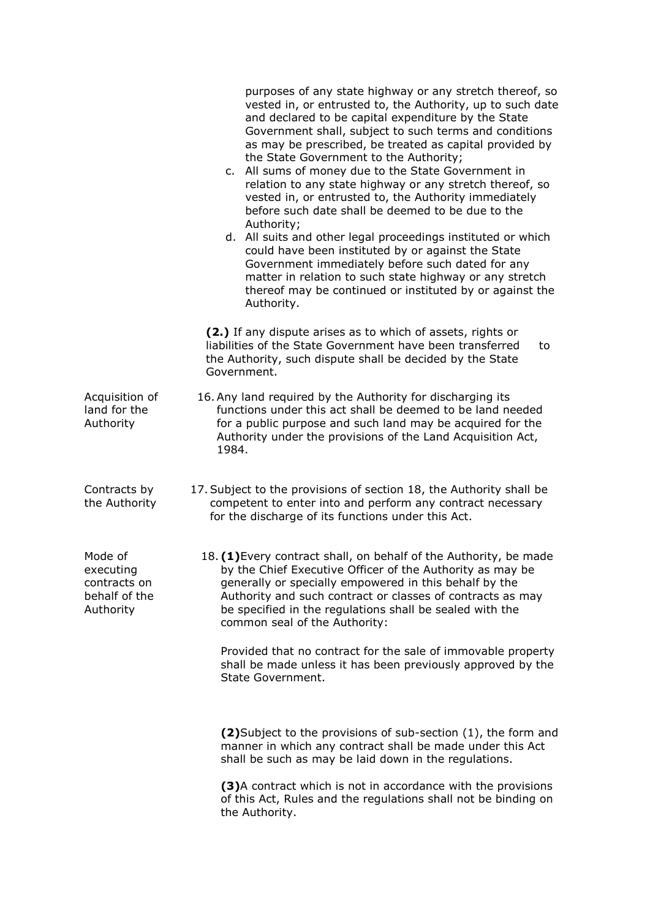|                                                                    | purposes of any state highway or any stretch thereof, so<br>vested in, or entrusted to, the Authority, up to such date<br>and declared to be capital expenditure by the State<br>Government shall, subject to such terms and conditions<br>as may be prescribed, be treated as capital provided by<br>the State Government to the Authority;<br>c. All sums of money due to the State Government in<br>relation to any state highway or any stretch thereof, so<br>vested in, or entrusted to, the Authority immediately<br>before such date shall be deemed to be due to the<br>Authority;<br>d. All suits and other legal proceedings instituted or which<br>could have been instituted by or against the State<br>Government immediately before such dated for any<br>matter in relation to such state highway or any stretch<br>thereof may be continued or instituted by or against the<br>Authority. |  |
|--------------------------------------------------------------------|------------------------------------------------------------------------------------------------------------------------------------------------------------------------------------------------------------------------------------------------------------------------------------------------------------------------------------------------------------------------------------------------------------------------------------------------------------------------------------------------------------------------------------------------------------------------------------------------------------------------------------------------------------------------------------------------------------------------------------------------------------------------------------------------------------------------------------------------------------------------------------------------------------|--|
|                                                                    | (2.) If any dispute arises as to which of assets, rights or<br>liabilities of the State Government have been transferred<br>to<br>the Authority, such dispute shall be decided by the State<br>Government.                                                                                                                                                                                                                                                                                                                                                                                                                                                                                                                                                                                                                                                                                                 |  |
| Acquisition of<br>land for the<br>Authority                        | 16. Any land required by the Authority for discharging its<br>functions under this act shall be deemed to be land needed<br>for a public purpose and such land may be acquired for the<br>Authority under the provisions of the Land Acquisition Act,<br>1984.                                                                                                                                                                                                                                                                                                                                                                                                                                                                                                                                                                                                                                             |  |
| Contracts by<br>the Authority                                      | 17. Subject to the provisions of section 18, the Authority shall be<br>competent to enter into and perform any contract necessary<br>for the discharge of its functions under this Act.                                                                                                                                                                                                                                                                                                                                                                                                                                                                                                                                                                                                                                                                                                                    |  |
| Mode of<br>executing<br>contracts on<br>behalf of the<br>Authority | 18. (1) Every contract shall, on behalf of the Authority, be made<br>by the Chief Executive Officer of the Authority as may be<br>generally or specially empowered in this behalf by the<br>Authority and such contract or classes of contracts as may<br>be specified in the regulations shall be sealed with the<br>common seal of the Authority:                                                                                                                                                                                                                                                                                                                                                                                                                                                                                                                                                        |  |
|                                                                    | Provided that no contract for the sale of immovable property<br>shall be made unless it has been previously approved by the<br>State Government.                                                                                                                                                                                                                                                                                                                                                                                                                                                                                                                                                                                                                                                                                                                                                           |  |
|                                                                    | (2) Subject to the provisions of sub-section (1), the form and<br>manner in which any contract shall be made under this Act<br>shall be such as may be laid down in the regulations.                                                                                                                                                                                                                                                                                                                                                                                                                                                                                                                                                                                                                                                                                                                       |  |
|                                                                    | (3)A contract which is not in accordance with the provisions<br>of this Act, Rules and the regulations shall not be binding on<br>the Authority.                                                                                                                                                                                                                                                                                                                                                                                                                                                                                                                                                                                                                                                                                                                                                           |  |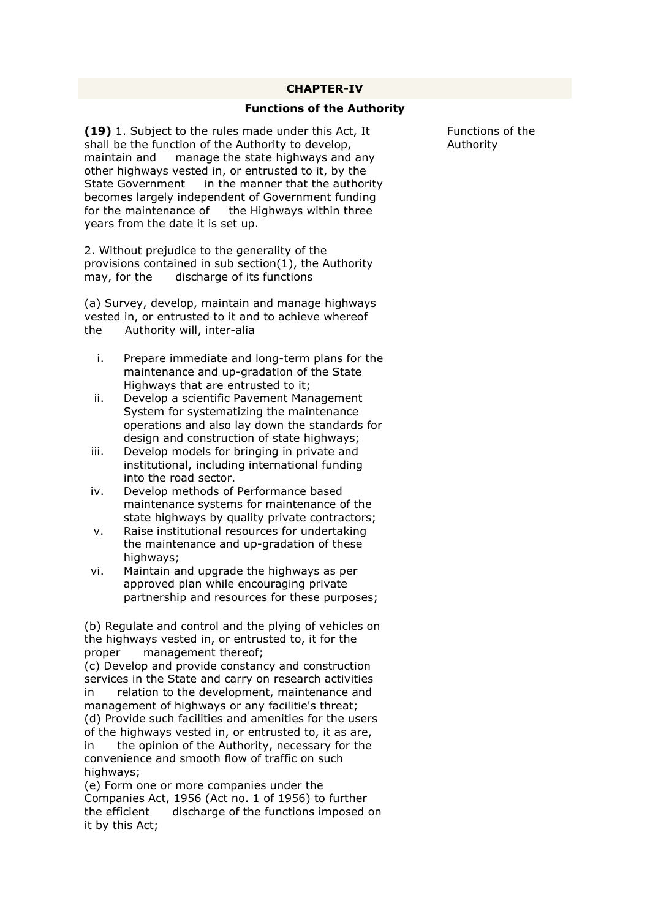#### **CHAPTER-IV**

#### **Functions of the Authority**

**(19)** 1. Subject to the rules made under this Act, It shall be the function of the Authority to develop, maintain and manage the state highways and any other highways vested in, or entrusted to it, by the State Government in the manner that the authority becomes largely independent of Government funding for the maintenance of the Highways within three years from the date it is set up.

2. Without prejudice to the generality of the provisions contained in sub section(1), the Authority may, for the discharge of its functions

(a) Survey, develop, maintain and manage highways vested in, or entrusted to it and to achieve whereof the Authority will, inter-alia

- i. Prepare immediate and long-term plans for the maintenance and up-gradation of the State Highways that are entrusted to it;
- ii. Develop a scientific Pavement Management System for systematizing the maintenance operations and also lay down the standards for design and construction of state highways;
- iii. Develop models for bringing in private and institutional, including international funding into the road sector.
- iv. Develop methods of Performance based maintenance systems for maintenance of the state highways by quality private contractors;
- v. Raise institutional resources for undertaking the maintenance and up-gradation of these highways:
- vi. Maintain and upgrade the highways as per approved plan while encouraging private partnership and resources for these purposes;

(b) Regulate and control and the plying of vehicles on the highways vested in, or entrusted to, it for the proper management thereof; (c) Develop and provide constancy and construction services in the State and carry on research activities

in relation to the development, maintenance and management of highways or any facilitie's threat; (d) Provide such facilities and amenities for the users of the highways vested in, or entrusted to, it as are, in the opinion of the Authority, necessary for the convenience and smooth flow of traffic on such highways:

(e) Form one or more companies under the Companies Act, 1956 (Act no. 1 of 1956) to further the efficient discharge of the functions imposed on it by this Act;

Functions of the Authority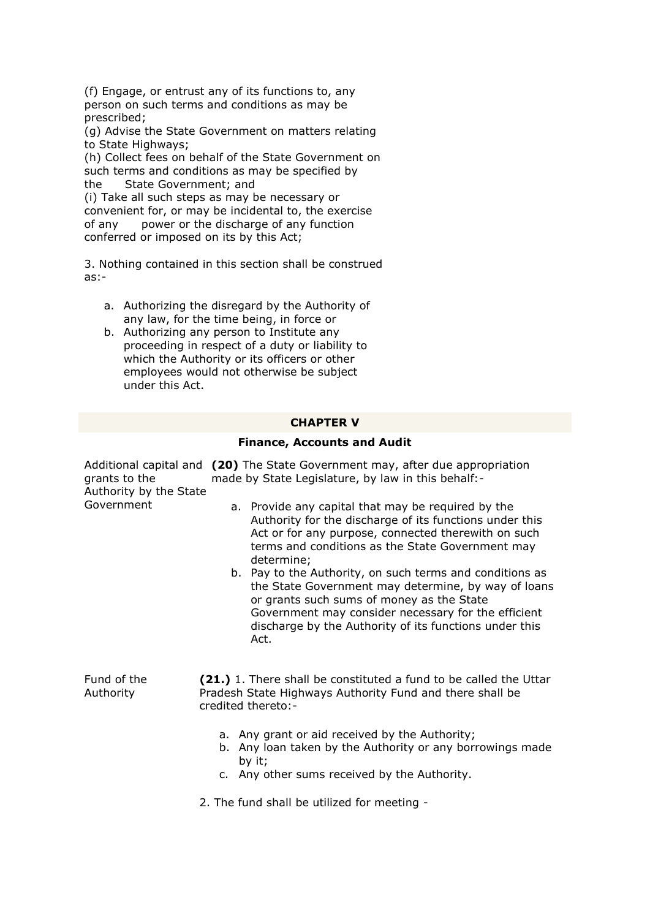(f) Engage, or entrust any of its functions to, any person on such terms and conditions as may be prescribed;

(g) Advise the State Government on matters relating to State Highways;

(h) Collect fees on behalf of the State Government on such terms and conditions as may be specified by the State Government; and

(i) Take all such steps as may be necessary or convenient for, or may be incidental to, the exercise of any power or the discharge of any function conferred or imposed on its by this Act;

3. Nothing contained in this section shall be construed as:-

- a. Authorizing the disregard by the Authority of any law, for the time being, in force or
- b. Authorizing any person to Institute any proceeding in respect of a duty or liability to which the Authority or its officers or other employees would not otherwise be subject under this Act.

# **CHAPTER V**

# **Finance, Accounts and Audit**

| grants to the<br>Authority by the State | Additional capital and (20) The State Government may, after due appropriation<br>made by State Legislature, by law in this behalf:-                                                                                                                                                   |  |  |
|-----------------------------------------|---------------------------------------------------------------------------------------------------------------------------------------------------------------------------------------------------------------------------------------------------------------------------------------|--|--|
| Government                              | a. Provide any capital that may be required by the<br>Authority for the discharge of its functions under this<br>Act or for any purpose, connected therewith on such<br>terms and conditions as the State Government may<br>determine;                                                |  |  |
|                                         | b. Pay to the Authority, on such terms and conditions as<br>the State Government may determine, by way of loans<br>or grants such sums of money as the State<br>Government may consider necessary for the efficient<br>discharge by the Authority of its functions under this<br>Act. |  |  |
| Fund of the<br>Authority                | (21.) 1. There shall be constituted a fund to be called the Uttar<br>Pradesh State Highways Authority Fund and there shall be<br>credited thereto:-                                                                                                                                   |  |  |
|                                         | a. Any grant or aid received by the Authority;<br>b. Any loan taken by the Authority or any borrowings made<br>by it;<br>c. Any other sums received by the Authority.                                                                                                                 |  |  |

2. The fund shall be utilized for meeting -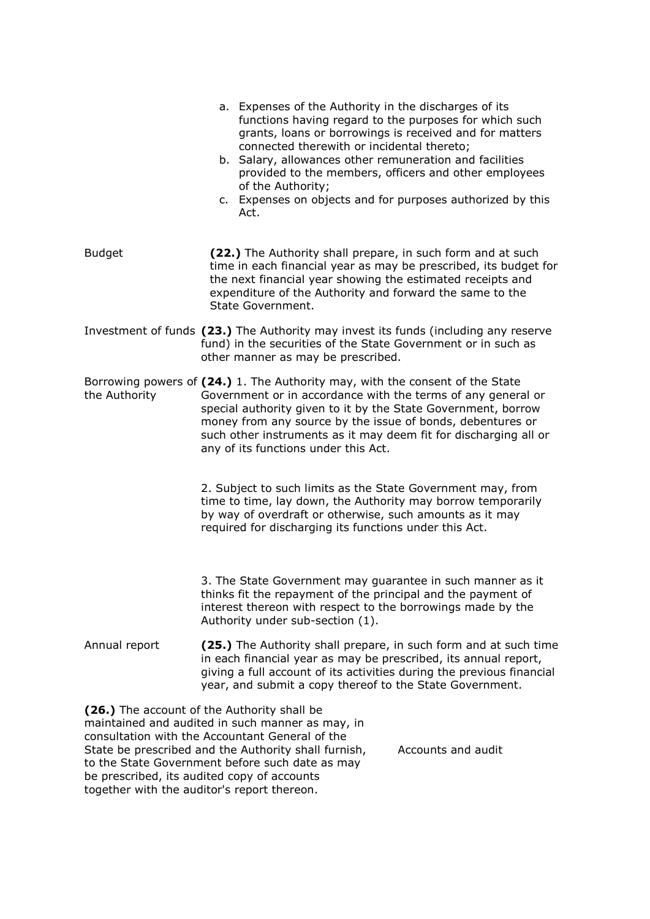|                                             | a. Expenses of the Authority in the discharges of its<br>functions having regard to the purposes for which such<br>grants, loans or borrowings is received and for matters<br>connected therewith or incidental thereto;<br>b. Salary, allowances other remuneration and facilities<br>provided to the members, officers and other employees<br>of the Authority;<br>c. Expenses on objects and for purposes authorized by this<br>Act. |  |
|---------------------------------------------|-----------------------------------------------------------------------------------------------------------------------------------------------------------------------------------------------------------------------------------------------------------------------------------------------------------------------------------------------------------------------------------------------------------------------------------------|--|
| <b>Budget</b>                               | (22.) The Authority shall prepare, in such form and at such<br>time in each financial year as may be prescribed, its budget for<br>the next financial year showing the estimated receipts and<br>expenditure of the Authority and forward the same to the<br>State Government.                                                                                                                                                          |  |
|                                             | Investment of funds (23.) The Authority may invest its funds (including any reserve<br>fund) in the securities of the State Government or in such as<br>other manner as may be prescribed.                                                                                                                                                                                                                                              |  |
| the Authority                               | Borrowing powers of (24.) 1. The Authority may, with the consent of the State<br>Government or in accordance with the terms of any general or<br>special authority given to it by the State Government, borrow<br>money from any source by the issue of bonds, debentures or<br>such other instruments as it may deem fit for discharging all or<br>any of its functions under this Act.                                                |  |
|                                             | 2. Subject to such limits as the State Government may, from<br>time to time, lay down, the Authority may borrow temporarily<br>by way of overdraft or otherwise, such amounts as it may<br>required for discharging its functions under this Act.                                                                                                                                                                                       |  |
|                                             | 3. The State Government may guarantee in such manner as it<br>thinks fit the repayment of the principal and the payment of<br>interest thereon with respect to the borrowings made by the<br>Authority under sub-section (1).                                                                                                                                                                                                           |  |
| Annual report                               | (25.) The Authority shall prepare, in such form and at such time<br>in each financial year as may be prescribed, its annual report,<br>giving a full account of its activities during the previous financial<br>year, and submit a copy thereof to the State Government.                                                                                                                                                                |  |
| together with the auditor's report thereon. | (26.) The account of the Authority shall be<br>maintained and audited in such manner as may, in<br>consultation with the Accountant General of the<br>Accounts and audit<br>State be prescribed and the Authority shall furnish,<br>to the State Government before such date as may<br>be prescribed, its audited copy of accounts                                                                                                      |  |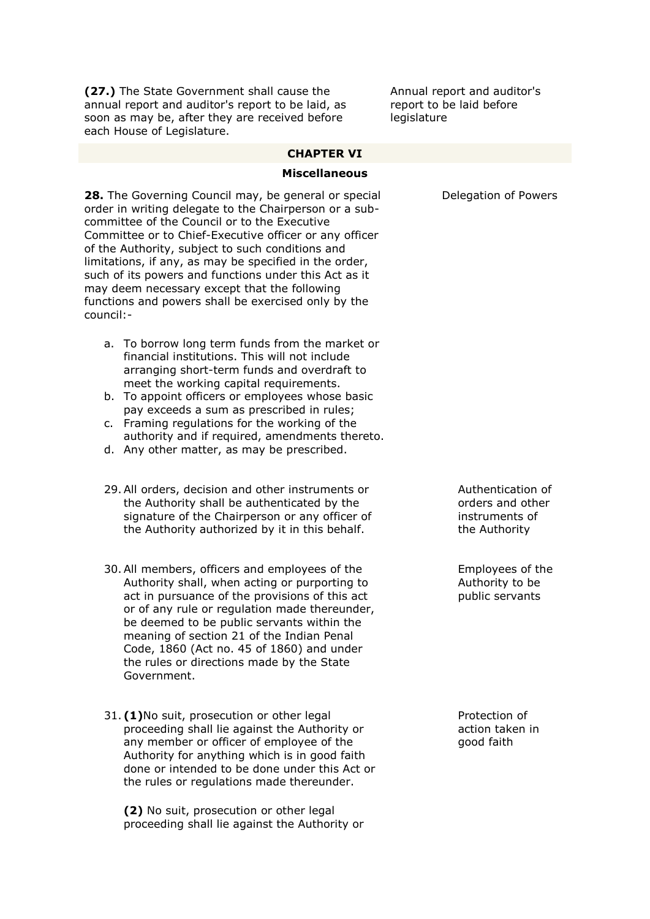**(27.)** The State Government shall cause the annual report and auditor's report to be laid, as soon as may be, after they are received before each House of Legislature.

Annual report and auditor's report to be laid before legislature

#### **CHAPTER VI**

#### **Miscellaneous**

**28.** The Governing Council may, be general or special order in writing delegate to the Chairperson or a subcommittee of the Council or to the Executive Committee or to Chief-Executive officer or any officer of the Authority, subject to such conditions and limitations, if any, as may be specified in the order, such of its powers and functions under this Act as it may deem necessary except that the following functions and powers shall be exercised only by the council:-

- a. To borrow long term funds from the market or financial institutions. This will not include arranging short-term funds and overdraft to meet the working capital requirements.
- b. To appoint officers or employees whose basic pay exceeds a sum as prescribed in rules;
- c. Framing regulations for the working of the authority and if required, amendments thereto.
- d. Any other matter, as may be prescribed.
- 29.All orders, decision and other instruments or the Authority shall be authenticated by the signature of the Chairperson or any officer of the Authority authorized by it in this behalf.
- 30.All members, officers and employees of the Authority shall, when acting or purporting to act in pursuance of the provisions of this act or of any rule or regulation made thereunder, be deemed to be public servants within the meaning of section 21 of the Indian Penal Code, 1860 (Act no. 45 of 1860) and under the rules or directions made by the State Government.
- 31. **(1)**No suit, prosecution or other legal proceeding shall lie against the Authority or any member or officer of employee of the Authority for anything which is in good faith done or intended to be done under this Act or the rules or regulations made thereunder.

**(2)** No suit, prosecution or other legal proceeding shall lie against the Authority or Delegation of Powers

Authentication of orders and other instruments of the Authority

Employees of the Authority to be public servants

Protection of action taken in good faith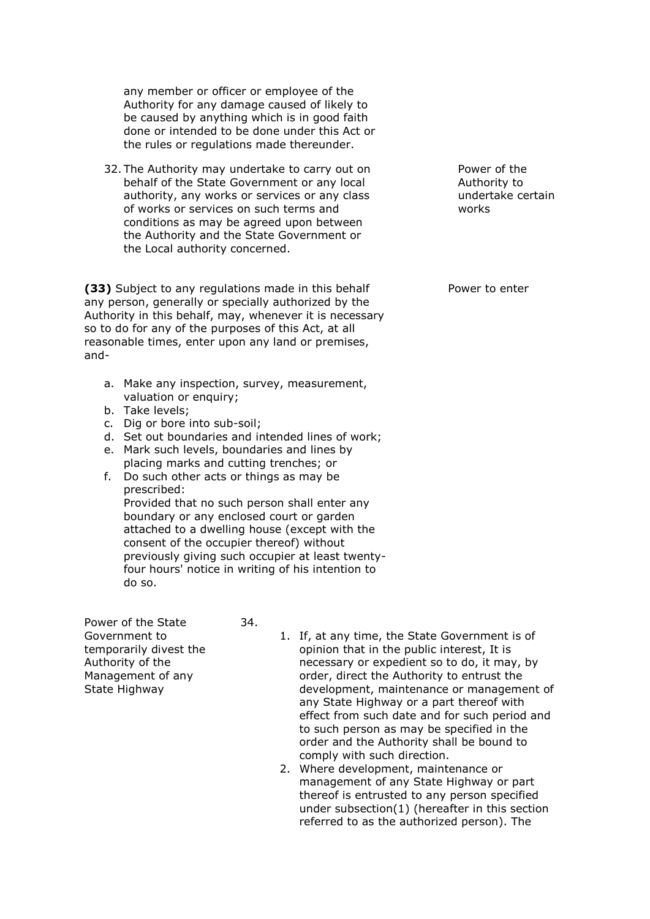any member or officer or employee of the Authority for any damage caused of likely to be caused by anything which is in good faith done or intended to be done under this Act or the rules or regulations made thereunder.

32. The Authority may undertake to carry out on behalf of the State Government or any local authority, any works or services or any class of works or services on such terms and conditions as may be agreed upon between the Authority and the State Government or the Local authority concerned.

**(33)** Subject to any regulations made in this behalf any person, generally or specially authorized by the Authority in this behalf, may, whenever it is necessary so to do for any of the purposes of this Act, at all reasonable times, enter upon any land or premises, and-

- a. Make any inspection, survey, measurement, valuation or enquiry;
- b. Take levels;
- c. Dig or bore into sub-soil;
- d. Set out boundaries and intended lines of work;
- e. Mark such levels, boundaries and lines by placing marks and cutting trenches; or
- f. Do such other acts or things as may be prescribed: Provided that no such person shall enter any boundary or any enclosed court or garden attached to a dwelling house (except with the consent of the occupier thereof) without previously giving such occupier at least twentyfour hours' notice in writing of his intention to do so.

Power of the State Government to temporarily divest the Authority of the Management of any State Highway

- 34.
- 1. If, at any time, the State Government is of opinion that in the public interest, It is necessary or expedient so to do, it may, by order, direct the Authority to entrust the development, maintenance or management of any State Highway or a part thereof with effect from such date and for such period and to such person as may be specified in the order and the Authority shall be bound to comply with such direction.
- 2. Where development, maintenance or management of any State Highway or part thereof is entrusted to any person specified under subsection(1) (hereafter in this section referred to as the authorized person). The

Power of the Authority to undertake certain works

Power to enter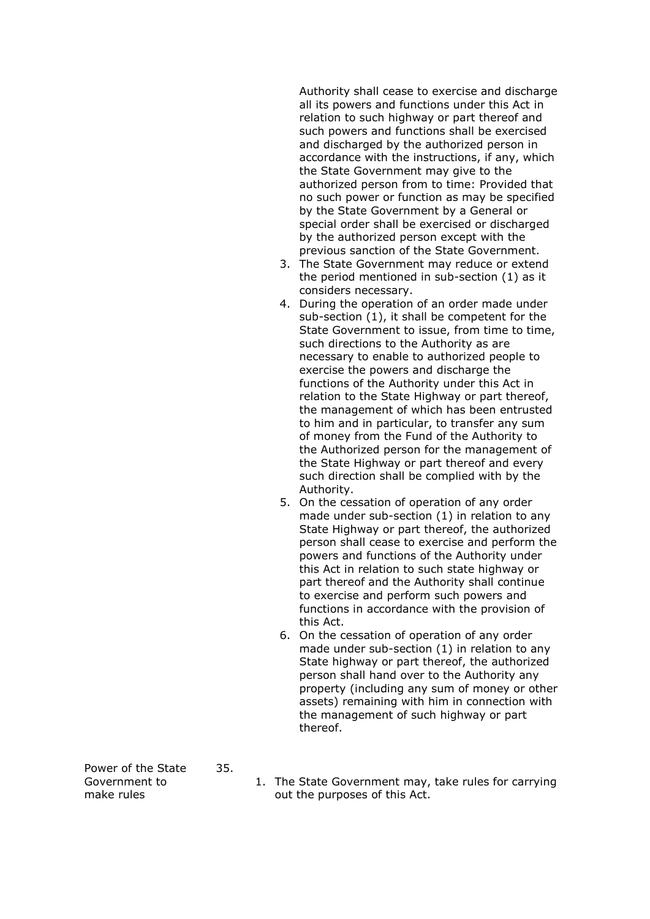Authority shall cease to exercise and discharge all its powers and functions under this Act in relation to such highway or part thereof and such powers and functions shall be exercised and discharged by the authorized person in accordance with the instructions, if any, which the State Government may give to the authorized person from to time: Provided that no such power or function as may be specified by the State Government by a General or special order shall be exercised or discharged by the authorized person except with the previous sanction of the State Government.

- 3. The State Government may reduce or extend the period mentioned in sub-section (1) as it considers necessary.
- 4. During the operation of an order made under sub-section (1), it shall be competent for the State Government to issue, from time to time, such directions to the Authority as are necessary to enable to authorized people to exercise the powers and discharge the functions of the Authority under this Act in relation to the State Highway or part thereof, the management of which has been entrusted to him and in particular, to transfer any sum of money from the Fund of the Authority to the Authorized person for the management of the State Highway or part thereof and every such direction shall be complied with by the Authority.
- 5. On the cessation of operation of any order made under sub-section (1) in relation to any State Highway or part thereof, the authorized person shall cease to exercise and perform the powers and functions of the Authority under this Act in relation to such state highway or part thereof and the Authority shall continue to exercise and perform such powers and functions in accordance with the provision of this Act.
- 6. On the cessation of operation of any order made under sub-section (1) in relation to any State highway or part thereof, the authorized person shall hand over to the Authority any property (including any sum of money or other assets) remaining with him in connection with the management of such highway or part thereof.

Power of the State Government to make rules 35.

1. The State Government may, take rules for carrying out the purposes of this Act.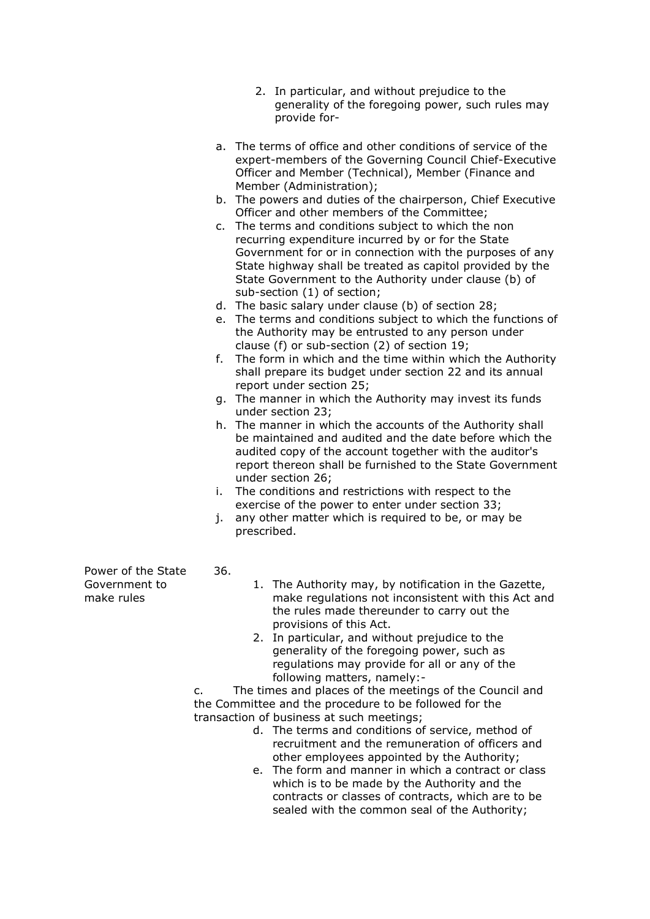- 2. In particular, and without prejudice to the generality of the foregoing power, such rules may provide for-
- a. The terms of office and other conditions of service of the expert-members of the Governing Council Chief-Executive Officer and Member (Technical), Member (Finance and Member (Administration);
- b. The powers and duties of the chairperson, Chief Executive Officer and other members of the Committee;
- c. The terms and conditions subject to which the non recurring expenditure incurred by or for the State Government for or in connection with the purposes of any State highway shall be treated as capitol provided by the State Government to the Authority under clause (b) of sub-section (1) of section;
- d. The basic salary under clause (b) of section 28;
- e. The terms and conditions subject to which the functions of the Authority may be entrusted to any person under clause (f) or sub-section (2) of section 19;
- f. The form in which and the time within which the Authority shall prepare its budget under section 22 and its annual report under section 25;
- g. The manner in which the Authority may invest its funds under section 23;
- h. The manner in which the accounts of the Authority shall be maintained and audited and the date before which the audited copy of the account together with the auditor's report thereon shall be furnished to the State Government under section 26;
- i. The conditions and restrictions with respect to the exercise of the power to enter under section 33;
- j. any other matter which is required to be, or may be prescribed.
- Power of the State Government to make rules
- 36.
	- 1. The Authority may, by notification in the Gazette, make regulations not inconsistent with this Act and the rules made thereunder to carry out the provisions of this Act.
	- 2. In particular, and without prejudice to the generality of the foregoing power, such as regulations may provide for all or any of the following matters, namely:-

c. The times and places of the meetings of the Council and the Committee and the procedure to be followed for the transaction of business at such meetings;

- d. The terms and conditions of service, method of recruitment and the remuneration of officers and other employees appointed by the Authority;
- e. The form and manner in which a contract or class which is to be made by the Authority and the contracts or classes of contracts, which are to be sealed with the common seal of the Authority;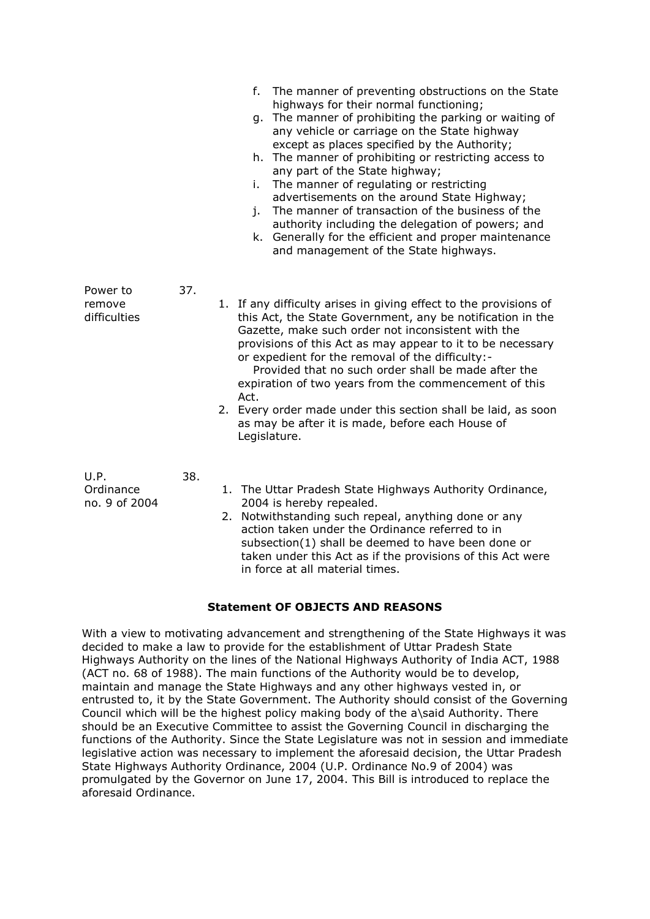|                                    |     | The manner of preventing obstructions on the State<br>f.<br>highways for their normal functioning;<br>The manner of prohibiting the parking or waiting of<br>q.<br>any vehicle or carriage on the State highway<br>except as places specified by the Authority;<br>h. The manner of prohibiting or restricting access to<br>any part of the State highway;<br>The manner of regulating or restricting<br>i.<br>advertisements on the around State Highway;<br>The manner of transaction of the business of the<br>j.<br>authority including the delegation of powers; and<br>Generally for the efficient and proper maintenance<br>k.<br>and management of the State highways. |
|------------------------------------|-----|--------------------------------------------------------------------------------------------------------------------------------------------------------------------------------------------------------------------------------------------------------------------------------------------------------------------------------------------------------------------------------------------------------------------------------------------------------------------------------------------------------------------------------------------------------------------------------------------------------------------------------------------------------------------------------|
| Power to<br>remove<br>difficulties | 37. | 1. If any difficulty arises in giving effect to the provisions of<br>this Act, the State Government, any be notification in the<br>Gazette, make such order not inconsistent with the<br>provisions of this Act as may appear to it to be necessary<br>or expedient for the removal of the difficulty:-<br>Provided that no such order shall be made after the<br>expiration of two years from the commencement of this<br>Act.<br>2. Every order made under this section shall be laid, as soon<br>as may be after it is made, before each House of<br>Legislature.                                                                                                           |
| U.P.<br>Ordinance<br>no. 9 of 2004 | 38. | 1. The Uttar Pradesh State Highways Authority Ordinance,<br>2004 is hereby repealed.<br>2. Notwithstanding such repeal, anything done or any<br>action taken under the Ordinance referred to in<br>subsection(1) shall be deemed to have been done or<br>taken under this Act as if the provisions of this Act were<br>in force at all material times.                                                                                                                                                                                                                                                                                                                         |

# **Statement OF OBJECTS AND REASONS**

With a view to motivating advancement and strengthening of the State Highways it was decided to make a law to provide for the establishment of Uttar Pradesh State Highways Authority on the lines of the National Highways Authority of India ACT, 1988 (ACT no. 68 of 1988). The main functions of the Authority would be to develop, maintain and manage the State Highways and any other highways vested in, or entrusted to, it by the State Government. The Authority should consist of the Governing Council which will be the highest policy making body of the a\said Authority. There should be an Executive Committee to assist the Governing Council in discharging the functions of the Authority. Since the State Legislature was not in session and immediate legislative action was necessary to implement the aforesaid decision, the Uttar Pradesh State Highways Authority Ordinance, 2004 (U.P. Ordinance No.9 of 2004) was promulgated by the Governor on June 17, 2004. This Bill is introduced to replace the aforesaid Ordinance.